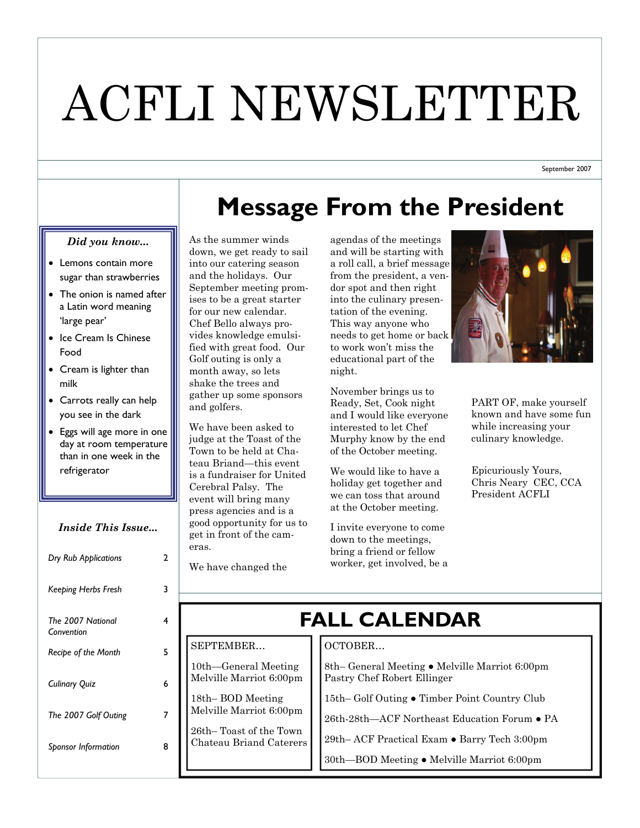# ACFLI NEWSLETTER

September 2007

# **Message From the President**

#### *Did you know...*

- Lemons contain more sugar than strawberries
- The onion is named after a Latin word meaning 'large pear'
- Ice Cream Is Chinese Food
- Cream is lighter than milk
- Carrots really can help you see in the dark
- Eggs will age more in one day at room temperature than in one week in the refrigerator

### *Inside This Issue...*

| Dry Rub Applications            | 2 |
|---------------------------------|---|
| Keeping Herbs Fresh             | 3 |
| The 2007 National<br>Convention | 4 |
| <b>Recipe of the Month</b>      | 5 |
| <b>Culinary Quiz</b>            | 6 |
| The 2007 Golf Outing            | 7 |
| Sponsor Information             | 8 |
|                                 |   |

As the summer winds down, we get ready to sail into our catering season and the holidays. Our September meeting promises to be a great starter for our new calendar. Chef Bello always provides knowledge emulsified with great food. Our Golf outing is only a month away, so lets shake the trees and gather up some sponsors and golfers.

We have been asked to judge at the Toast of the Town to be held at Chateau Briand—this event is a fundraiser for United Cerebral Palsy. The event will bring many press agencies and is a good opportunity for us to get in front of the cameras.

agendas of the meetings and will be starting with a roll call, a brief message from the president, a vendor spot and then right into the culinary presentation of the evening. This way anyone who needs to get home or back to work won't miss the educational part of the night.

November brings us to Ready, Set, Cook night and I would like everyone interested to let Chef Murphy know by the end of the October meeting.

We would like to have a holiday get together and we can toss that around at the October meeting.

I invite everyone to come down to the meetings, bring a friend or fellow worker, get involved, be a



PART OF, make yourself known and have some fun while increasing your culinary knowledge.

Epicuriously Yours, Chris Neary CEC, CCA President ACFLI

#### We have changed the

SEPTEMBER…

10th—General Meeting Melville Marriot 6:00pm

18th– BOD Meeting Melville Marriot 6:00pm 26th– Toast of the Town Chateau Briand Caterers

# **FALL CALENDAR**

## OCTOBER…

8th– General Meeting ● Melville Marriot 6:00pm Pastry Chef Robert Ellinger

15th– Golf Outing ● Timber Point Country Club

26th-28th—ACF Northeast Education Forum ● PA

29th– ACF Practical Exam ● Barry Tech 3:00pm

30th—BOD Meeting ● Melville Marriot 6:00pm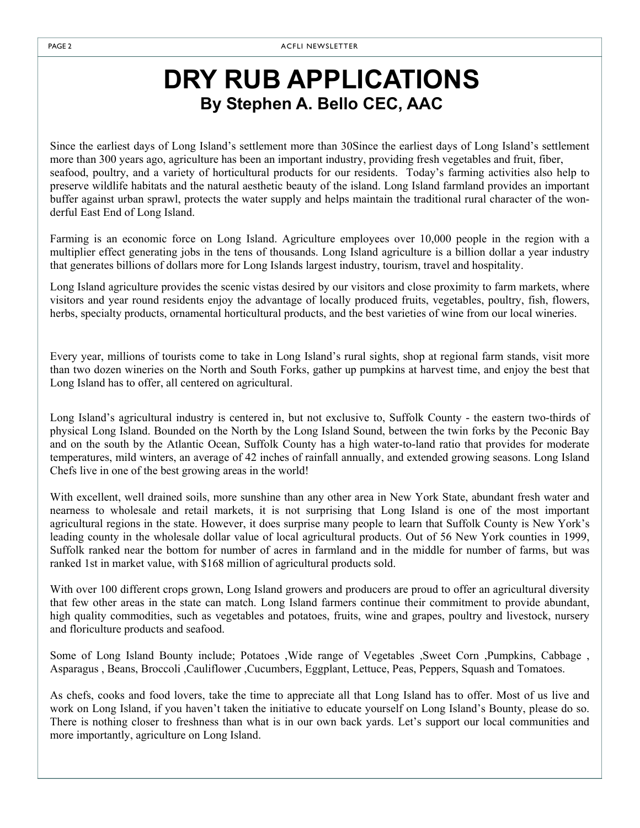## **DRY RUB APPLICATIONS By Stephen A. Bello CEC, AAC**

Since the earliest days of Long Island's settlement more than 30Since the earliest days of Long Island's settlement more than 300 years ago, agriculture has been an important industry, providing fresh vegetables and fruit, fiber, seafood, poultry, and a variety of horticultural products for our residents. Today's farming activities also help to preserve wildlife habitats and the natural aesthetic beauty of the island. Long Island farmland provides an important buffer against urban sprawl, protects the water supply and helps maintain the traditional rural character of the wonderful East End of Long Island.

Farming is an economic force on Long Island. Agriculture employees over 10,000 people in the region with a multiplier effect generating jobs in the tens of thousands. Long Island agriculture is a billion dollar a year industry that generates billions of dollars more for Long Islands largest industry, tourism, travel and hospitality.

Long Island agriculture provides the scenic vistas desired by our visitors and close proximity to farm markets, where visitors and year round residents enjoy the advantage of locally produced fruits, vegetables, poultry, fish, flowers, herbs, specialty products, ornamental horticultural products, and the best varieties of wine from our local wineries.

Every year, millions of tourists come to take in Long Island's rural sights, shop at regional farm stands, visit more than two dozen wineries on the North and South Forks, gather up pumpkins at harvest time, and enjoy the best that Long Island has to offer, all centered on agricultural.

Long Island's agricultural industry is centered in, but not exclusive to, Suffolk County - the eastern two-thirds of physical Long Island. Bounded on the North by the Long Island Sound, between the twin forks by the Peconic Bay and on the south by the Atlantic Ocean, Suffolk County has a high water-to-land ratio that provides for moderate temperatures, mild winters, an average of 42 inches of rainfall annually, and extended growing seasons. Long Island Chefs live in one of the best growing areas in the world!

With excellent, well drained soils, more sunshine than any other area in New York State, abundant fresh water and nearness to wholesale and retail markets, it is not surprising that Long Island is one of the most important agricultural regions in the state. However, it does surprise many people to learn that Suffolk County is New York's leading county in the wholesale dollar value of local agricultural products. Out of 56 New York counties in 1999, Suffolk ranked near the bottom for number of acres in farmland and in the middle for number of farms, but was ranked 1st in market value, with \$168 million of agricultural products sold.

With over 100 different crops grown, Long Island growers and producers are proud to offer an agricultural diversity that few other areas in the state can match. Long Island farmers continue their commitment to provide abundant, high quality commodities, such as vegetables and potatoes, fruits, wine and grapes, poultry and livestock, nursery and floriculture products and seafood.

Some of Long Island Bounty include; Potatoes ,Wide range of Vegetables ,Sweet Corn ,Pumpkins, Cabbage , Asparagus , Beans, Broccoli ,Cauliflower ,Cucumbers, Eggplant, Lettuce, Peas, Peppers, Squash and Tomatoes.

As chefs, cooks and food lovers, take the time to appreciate all that Long Island has to offer. Most of us live and work on Long Island, if you haven't taken the initiative to educate yourself on Long Island's Bounty, please do so. There is nothing closer to freshness than what is in our own back yards. Let's support our local communities and more importantly, agriculture on Long Island.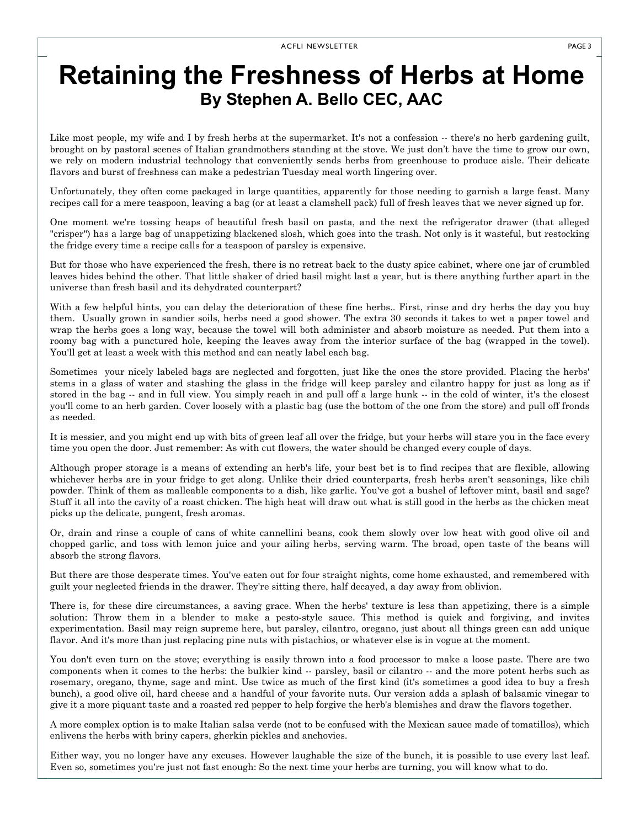## **Retaining the Freshness of Herbs at Home By Stephen A. Bello CEC, AAC**

Like most people, my wife and I by fresh herbs at the supermarket. It's not a confession -- there's no herb gardening guilt, brought on by pastoral scenes of Italian grandmothers standing at the stove. We just don't have the time to grow our own, we rely on modern industrial technology that conveniently sends herbs from greenhouse to produce aisle. Their delicate flavors and burst of freshness can make a pedestrian Tuesday meal worth lingering over.

Unfortunately, they often come packaged in large quantities, apparently for those needing to garnish a large feast. Many recipes call for a mere teaspoon, leaving a bag (or at least a clamshell pack) full of fresh leaves that we never signed up for.

One moment we're tossing heaps of beautiful fresh basil on pasta, and the next the refrigerator drawer (that alleged "crisper") has a large bag of unappetizing blackened slosh, which goes into the trash. Not only is it wasteful, but restocking the fridge every time a recipe calls for a teaspoon of parsley is expensive.

But for those who have experienced the fresh, there is no retreat back to the dusty spice cabinet, where one jar of crumbled leaves hides behind the other. That little shaker of dried basil might last a year, but is there anything further apart in the universe than fresh basil and its dehydrated counterpart?

With a few helpful hints, you can delay the deterioration of these fine herbs.. First, rinse and dry herbs the day you buy them. Usually grown in sandier soils, herbs need a good shower. The extra 30 seconds it takes to wet a paper towel and wrap the herbs goes a long way, because the towel will both administer and absorb moisture as needed. Put them into a roomy bag with a punctured hole, keeping the leaves away from the interior surface of the bag (wrapped in the towel). You'll get at least a week with this method and can neatly label each bag.

Sometimes your nicely labeled bags are neglected and forgotten, just like the ones the store provided. Placing the herbs' stems in a glass of water and stashing the glass in the fridge will keep parsley and cilantro happy for just as long as if stored in the bag -- and in full view. You simply reach in and pull off a large hunk -- in the cold of winter, it's the closest you'll come to an herb garden. Cover loosely with a plastic bag (use the bottom of the one from the store) and pull off fronds as needed.

It is messier, and you might end up with bits of green leaf all over the fridge, but your herbs will stare you in the face every time you open the door. Just remember: As with cut flowers, the water should be changed every couple of days.

Although proper storage is a means of extending an herb's life, your best bet is to find recipes that are flexible, allowing whichever herbs are in your fridge to get along. Unlike their dried counterparts, fresh herbs aren't seasonings, like chili powder. Think of them as malleable components to a dish, like garlic. You've got a bushel of leftover mint, basil and sage? Stuff it all into the cavity of a roast chicken. The high heat will draw out what is still good in the herbs as the chicken meat picks up the delicate, pungent, fresh aromas.

Or, drain and rinse a couple of cans of white cannellini beans, cook them slowly over low heat with good olive oil and chopped garlic, and toss with lemon juice and your ailing herbs, serving warm. The broad, open taste of the beans will absorb the strong flavors.

But there are those desperate times. You've eaten out for four straight nights, come home exhausted, and remembered with guilt your neglected friends in the drawer. They're sitting there, half decayed, a day away from oblivion.

There is, for these dire circumstances, a saving grace. When the herbs' texture is less than appetizing, there is a simple solution: Throw them in a blender to make a pesto-style sauce. This method is quick and forgiving, and invites experimentation. Basil may reign supreme here, but parsley, cilantro, oregano, just about all things green can add unique flavor. And it's more than just replacing pine nuts with pistachios, or whatever else is in vogue at the moment.

You don't even turn on the stove; everything is easily thrown into a food processor to make a loose paste. There are two components when it comes to the herbs: the bulkier kind -- parsley, basil or cilantro -- and the more potent herbs such as rosemary, oregano, thyme, sage and mint. Use twice as much of the first kind (it's sometimes a good idea to buy a fresh bunch), a good olive oil, hard cheese and a handful of your favorite nuts. Our version adds a splash of balsamic vinegar to give it a more piquant taste and a roasted red pepper to help forgive the herb's blemishes and draw the flavors together.

A more complex option is to make Italian salsa verde (not to be confused with the Mexican sauce made of tomatillos), which enlivens the herbs with briny capers, gherkin pickles and anchovies.

Either way, you no longer have any excuses. However laughable the size of the bunch, it is possible to use every last leaf. Even so, sometimes you're just not fast enough: So the next time your herbs are turning, you will know what to do.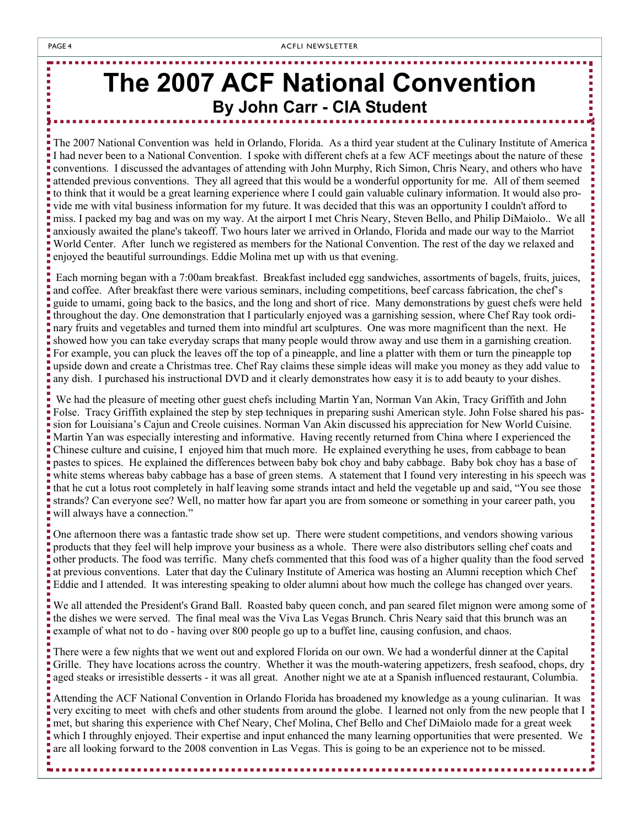# **The 2007 ACF National Convention By John Carr - CIA Student**

The 2007 National Convention was held in Orlando, Florida. As a third year student at the Culinary Institute of America I had never been to a National Convention. I spoke with different chefs at a few ACF meetings about the nature of these conventions. I discussed the advantages of attending with John Murphy, Rich Simon, Chris Neary, and others who have attended previous conventions. They all agreed that this would be a wonderful opportunity for me. All of them seemed to think that it would be a great learning experience where I could gain valuable culinary information. It would also provide me with vital business information for my future. It was decided that this was an opportunity I couldn't afford to miss. I packed my bag and was on my way. At the airport I met Chris Neary, Steven Bello, and Philip DiMaiolo.. We all anxiously awaited the plane's takeoff. Two hours later we arrived in Orlando, Florida and made our way to the Marriot World Center. After lunch we registered as members for the National Convention. The rest of the day we relaxed and enjoyed the beautiful surroundings. Eddie Molina met up with us that evening.

. . . . . . . . . .

----------------------

,,,,,,,,,,,,,

 Each morning began with a 7:00am breakfast. Breakfast included egg sandwiches, assortments of bagels, fruits, juices, and coffee. After breakfast there were various seminars, including competitions, beef carcass fabrication, the chef's guide to umami, going back to the basics, and the long and short of rice. Many demonstrations by guest chefs were held throughout the day. One demonstration that I particularly enjoyed was a garnishing session, where Chef Ray took ordinary fruits and vegetables and turned them into mindful art sculptures. One was more magnificent than the next. He showed how you can take everyday scraps that many people would throw away and use them in a garnishing creation. For example, you can pluck the leaves off the top of a pineapple, and line a platter with them or turn the pineapple top upside down and create a Christmas tree. Chef Ray claims these simple ideas will make you money as they add value to any dish. I purchased his instructional DVD and it clearly demonstrates how easy it is to add beauty to your dishes.

 We had the pleasure of meeting other guest chefs including Martin Yan, Norman Van Akin, Tracy Griffith and John Folse. Tracy Griffith explained the step by step techniques in preparing sushi American style. John Folse shared his passion for Louisiana's Cajun and Creole cuisines. Norman Van Akin discussed his appreciation for New World Cuisine. Martin Yan was especially interesting and informative. Having recently returned from China where I experienced the Chinese culture and cuisine, I enjoyed him that much more. He explained everything he uses, from cabbage to bean pastes to spices. He explained the differences between baby bok choy and baby cabbage. Baby bok choy has a base of white stems whereas baby cabbage has a base of green stems. A statement that I found very interesting in his speech was that he cut a lotus root completely in half leaving some strands intact and held the vegetable up and said, "You see those strands? Can everyone see? Well, no matter how far apart you are from someone or something in your career path, you will always have a connection."

One afternoon there was a fantastic trade show set up. There were student competitions, and vendors showing various products that they feel will help improve your business as a whole. There were also distributors selling chef coats and other products. The food was terrific. Many chefs commented that this food was of a higher quality than the food served at previous conventions. Later that day the Culinary Institute of America was hosting an Alumni reception which Chef Eddie and I attended. It was interesting speaking to older alumni about how much the college has changed over years.

We all attended the President's Grand Ball. Roasted baby queen conch, and pan seared filet mignon were among some of the dishes we were served. The final meal was the Viva Las Vegas Brunch. Chris Neary said that this brunch was an example of what not to do - having over 800 people go up to a buffet line, causing confusion, and chaos.

There were a few nights that we went out and explored Florida on our own. We had a wonderful dinner at the Capital Grille. They have locations across the country. Whether it was the mouth-watering appetizers, fresh seafood, chops, dry aged steaks or irresistible desserts - it was all great. Another night we ate at a Spanish influenced restaurant, Columbia.

Attending the ACF National Convention in Orlando Florida has broadened my knowledge as a young culinarian. It was very exciting to meet with chefs and other students from around the globe. I learned not only from the new people that I met, but sharing this experience with Chef Neary, Chef Molina, Chef Bello and Chef DiMaiolo made for a great week which I throughly enjoyed. Their expertise and input enhanced the many learning opportunities that were presented. We are all looking forward to the 2008 convention in Las Vegas. This is going to be an experience not to be missed.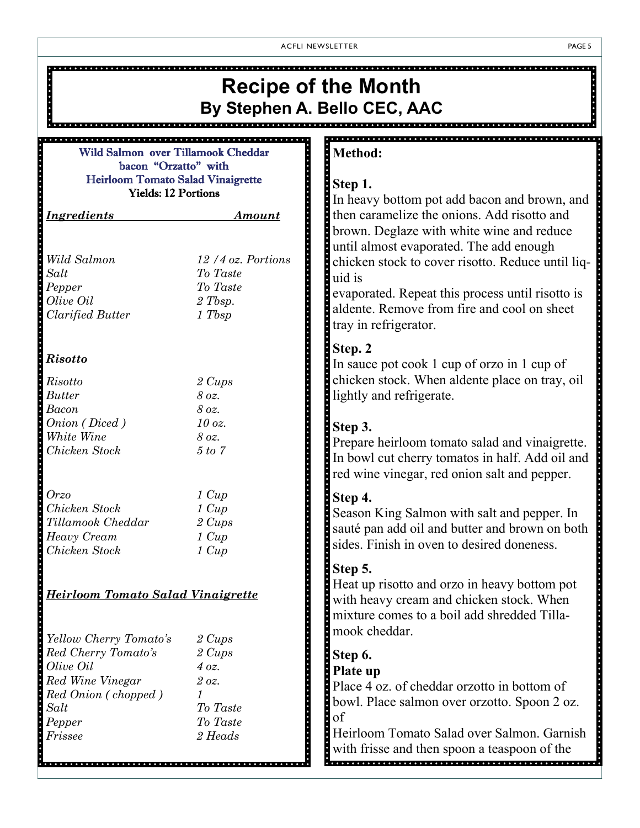ACFLI NEWSLETTER PAGE 5

| <b>Recipe of the Month</b>                                                                                                         |                                                                                       |                                                                                                                                                                                                                                    |  |  |
|------------------------------------------------------------------------------------------------------------------------------------|---------------------------------------------------------------------------------------|------------------------------------------------------------------------------------------------------------------------------------------------------------------------------------------------------------------------------------|--|--|
| By Stephen A. Bello CEC, AAC                                                                                                       |                                                                                       |                                                                                                                                                                                                                                    |  |  |
| <b>Method:</b><br>Wild Salmon over Tillamook Cheddar                                                                               |                                                                                       |                                                                                                                                                                                                                                    |  |  |
| bacon "Orzatto" with<br><b>Heirloom Tomato Salad Vinaigrette</b><br><b>Yields: 12 Portions</b>                                     |                                                                                       | Step 1.<br>In heavy bottom pot add bacon and brown, and                                                                                                                                                                            |  |  |
| <b>Ingredients</b>                                                                                                                 | <u>Amount</u>                                                                         | then caramelize the onions. Add risotto and<br>brown. Deglaze with white wine and reduce                                                                                                                                           |  |  |
| Wild Salmon<br>Salt<br>Pepper<br>Olive Oil<br><b>Clarified Butter</b>                                                              | 12/4 oz. Portions<br>To Taste<br>To Taste<br>2 Tbsp.<br>1 Tbsp                        | until almost evaporated. The add enough<br>chicken stock to cover risotto. Reduce until liq-<br>uid is<br>evaporated. Repeat this process until risotto is<br>aldente. Remove from fire and cool on sheet<br>tray in refrigerator. |  |  |
| <b>Risotto</b>                                                                                                                     |                                                                                       | Step. 2<br>In sauce pot cook 1 cup of orzo in 1 cup of                                                                                                                                                                             |  |  |
| Risotto<br><b>Butter</b><br>Bacon                                                                                                  | 2 Cups<br>8 oz.<br>8 oz.                                                              | chicken stock. When aldente place on tray, oil<br>lightly and refrigerate.                                                                                                                                                         |  |  |
| Onion (Diced)<br>White Wine<br>Chicken Stock                                                                                       | $10$ oz.<br>8 oz.<br>5 to 7                                                           | Step 3.<br>Prepare heirloom tomato salad and vinaigrette.<br>In bowl cut cherry tomatos in half. Add oil and<br>red wine vinegar, red onion salt and pepper.                                                                       |  |  |
| <i>Orzo</i><br>Chicken Stock<br>Tillamook Cheddar<br>Heavy Cream<br>Chicken Stock                                                  | $1 \; Cup$<br>$1 \; Cup$<br>2 Cups<br>$1 \; Cup$<br>$1 \; Cup$                        | Step 4.<br>Season King Salmon with salt and pepper. In<br>sauté pan add oil and butter and brown on both<br>sides. Finish in oven to desired doneness.                                                                             |  |  |
| <b>Heirloom Tomato Salad Vinaigrette</b>                                                                                           |                                                                                       | Step 5.<br>Heat up risotto and orzo in heavy bottom pot<br>with heavy cream and chicken stock. When<br>mixture comes to a boil add shredded Tilla-<br>mook cheddar.                                                                |  |  |
| Yellow Cherry Tomato's<br>Red Cherry Tomato's<br>Olive Oil<br>Red Wine Vinegar<br>Red Onion (chopped)<br>Salt<br>Pepper<br>Frissee | 2 Cups<br>2 Cups<br>4 oz.<br>2 oz.<br>$\mathcal I$<br>To Taste<br>To Taste<br>2 Heads | Step 6.<br>Plate up<br>Place 4 oz. of cheddar orzotto in bottom of<br>bowl. Place salmon over orzotto. Spoon 2 oz.<br>of<br>Heirloom Tomato Salad over Salmon. Garnish<br>with frisse and then spoon a teaspoon of the             |  |  |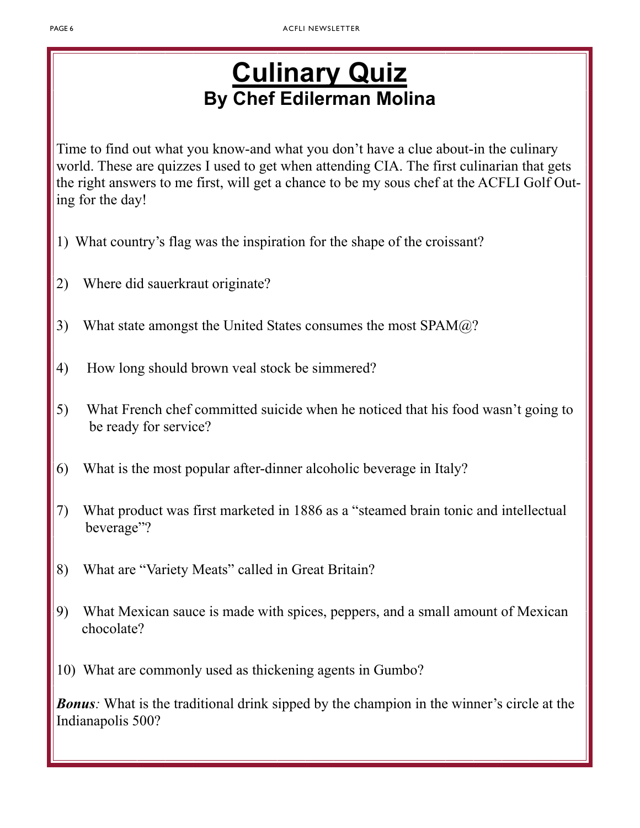# **Culinary Quiz By Chef Edilerman Molina**

Time to find out what you know-and what you don't have a clue about-in the culinary world. These are quizzes I used to get when attending CIA. The first culinarian that gets the right answers to me first, will get a chance to be my sous chef at the ACFLI Golf Outing for the day!

- 1) What country's flag was the inspiration for the shape of the croissant?
- 2) Where did sauerkraut originate?
- 3) What state amongst the United States consumes the most  $SPAM@?$
- 4) How long should brown veal stock be simmered?
- 5) What French chef committed suicide when he noticed that his food wasn't going to be ready for service?
- 6) What is the most popular after-dinner alcoholic beverage in Italy?
- 7) What product was first marketed in 1886 as a "steamed brain tonic and intellectual beverage"?
- 8) What are "Variety Meats" called in Great Britain?
- 9) What Mexican sauce is made with spices, peppers, and a small amount of Mexican chocolate?
- 10) What are commonly used as thickening agents in Gumbo?

*Bonus*: What is the traditional drink sipped by the champion in the winner's circle at the Indianapolis 500?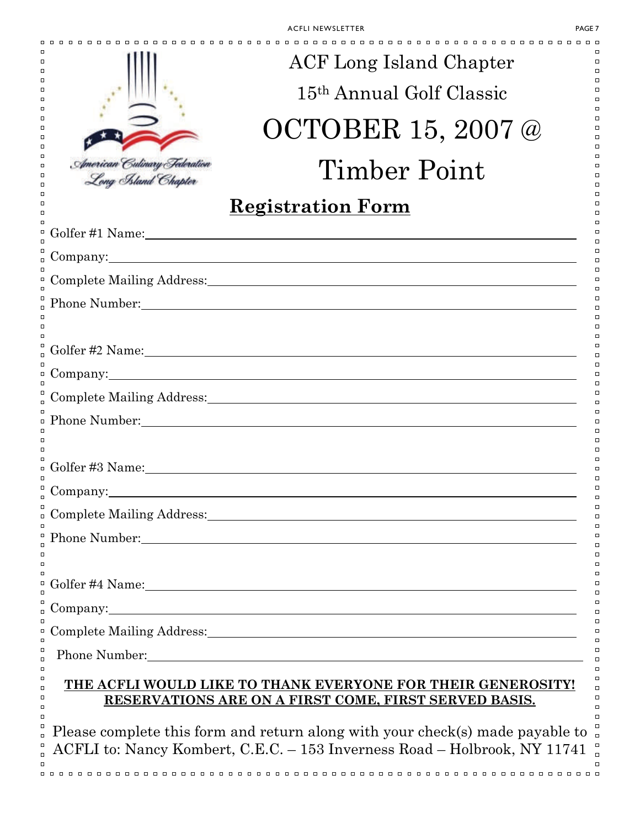|                                                                                             | ACF Long Island Chapter                                                                                                                                                                                                        |  |  |  |
|---------------------------------------------------------------------------------------------|--------------------------------------------------------------------------------------------------------------------------------------------------------------------------------------------------------------------------------|--|--|--|
|                                                                                             | 15 <sup>th</sup> Annual Golf Classic                                                                                                                                                                                           |  |  |  |
|                                                                                             | OCTOBER 15, 2007 @                                                                                                                                                                                                             |  |  |  |
| Imerican Culinary Tederation<br>Long Asland Chapter                                         | Timber Point                                                                                                                                                                                                                   |  |  |  |
|                                                                                             | <b>Registration Form</b>                                                                                                                                                                                                       |  |  |  |
|                                                                                             |                                                                                                                                                                                                                                |  |  |  |
|                                                                                             | Company: 2008 Company:                                                                                                                                                                                                         |  |  |  |
|                                                                                             |                                                                                                                                                                                                                                |  |  |  |
|                                                                                             |                                                                                                                                                                                                                                |  |  |  |
|                                                                                             |                                                                                                                                                                                                                                |  |  |  |
|                                                                                             |                                                                                                                                                                                                                                |  |  |  |
|                                                                                             |                                                                                                                                                                                                                                |  |  |  |
|                                                                                             |                                                                                                                                                                                                                                |  |  |  |
|                                                                                             | Phone Number: National Contract of the Number of Section 1, 2014, 2015                                                                                                                                                         |  |  |  |
|                                                                                             |                                                                                                                                                                                                                                |  |  |  |
|                                                                                             |                                                                                                                                                                                                                                |  |  |  |
|                                                                                             |                                                                                                                                                                                                                                |  |  |  |
|                                                                                             |                                                                                                                                                                                                                                |  |  |  |
|                                                                                             | Phone Number: 1990 March 2010 March 2010 March 2010 March 2010 March 2010 March 2010 March 2010 March 2010 March 2010 March 2010 March 2010 March 2010 March 2010 March 2010 March 2010 March 2010 March 2010 March 2010 March |  |  |  |
|                                                                                             |                                                                                                                                                                                                                                |  |  |  |
|                                                                                             |                                                                                                                                                                                                                                |  |  |  |
|                                                                                             | Company: <u>company</u>                                                                                                                                                                                                        |  |  |  |
|                                                                                             |                                                                                                                                                                                                                                |  |  |  |
|                                                                                             | Phone Number: 2008 Communication of the Number of Theorem 2008 Communication of the Number of Theorem 2008 Communication of the Number of Theorem 2008 Communication of the United States of the United States of the United S |  |  |  |
| J<br>J                                                                                      | THE ACFLI WOULD LIKE TO THANK EVERYONE FOR THEIR GENEROSITY!<br>RESERVATIONS ARE ON A FIRST COME, FIRST SERVED BASIS.                                                                                                          |  |  |  |
| Please complete this form and return along with your check(s) made payable to $\frac{1}{6}$ |                                                                                                                                                                                                                                |  |  |  |

Please complete this form and return along with your check(s) made payable to  $\Box$ ACFLI to: Nancy Kombert, C.E.C. – 153 Inverness Road – Holbrook, NY 11741  $\Box$  $\Box$  $\Box$